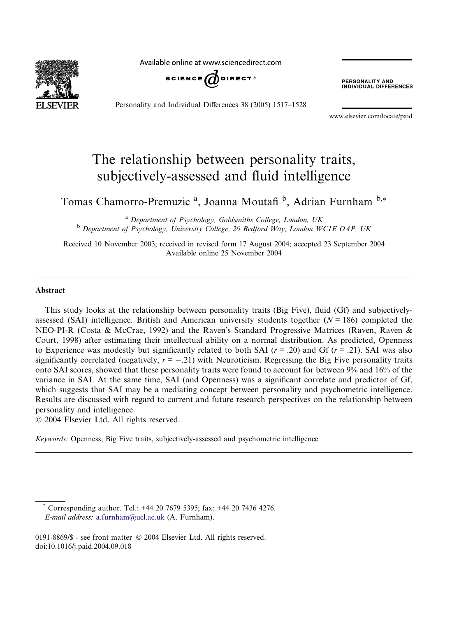Available online at www.sciencedirect.com



Personality and Individual Differences 38 (2005) 1517–1528

**PERSONALITY AND<br>INDIVIDUAL DIFFERENCES** 

www.elsevier.com/locate/paid

## The relationship between personality traits, subjectively-assessed and fluid intelligence

Tomas Chamorro-Premuzic<sup>a</sup>, Joanna Moutafi<sup>b</sup>, Adrian Furnham<sup>b,\*</sup>

<sup>a</sup> Department of Psychology, Goldsmiths College, London, UK<br><sup>b</sup> Department of Psychology, University College, 26 Bedford Way, London WC1E OAP, UK

Received 10 November 2003; received in revised form 17 August 2004; accepted 23 September 2004 Available online 25 November 2004

## Abstract

This study looks at the relationship between personality traits (Big Five), fluid (Gf) and subjectivelyassessed (SAI) intelligence. British and American university students together  $(N = 186)$  completed the NEO-PI-R (Costa & McCrae, 1992) and the Raven's Standard Progressive Matrices (Raven, Raven & Court, 1998) after estimating their intellectual ability on a normal distribution. As predicted, Openness to Experience was modestly but significantly related to both SAI ( $r = .20$ ) and Gf ( $r = .21$ ). SAI was also significantly correlated (negatively,  $r = -.21$ ) with Neuroticism. Regressing the Big Five personality traits onto SAI scores, showed that these personality traits were found to account for between 9% and 16% of the variance in SAI. At the same time, SAI (and Openness) was a significant correlate and predictor of Gf, which suggests that SAI may be a mediating concept between personality and psychometric intelligence. Results are discussed with regard to current and future research perspectives on the relationship between personality and intelligence.

2004 Elsevier Ltd. All rights reserved.

Keywords: Openness; Big Five traits, subjectively-assessed and psychometric intelligence

Corresponding author. Tel.: +44 20 7679 5395; fax: +44 20 7436 4276. E-mail address: [a.furnham@ucl.ac.uk](mailto:a.furnham@ucl.ac.uk ) (A. Furnham).

<sup>0191-8869/\$ -</sup> see front matter © 2004 Elsevier Ltd. All rights reserved. doi:10.1016/j.paid.2004.09.018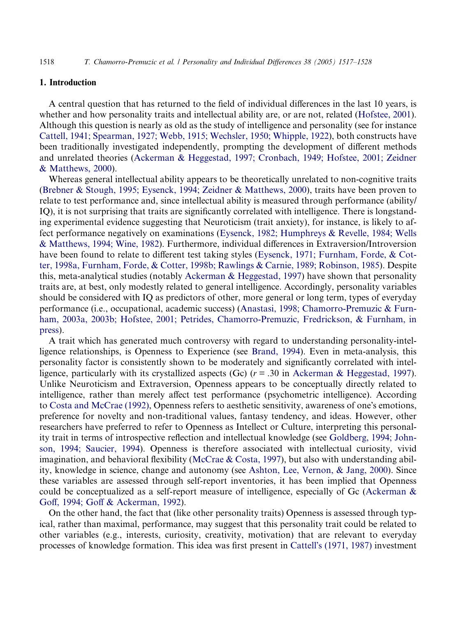## 1. Introduction

A central question that has returned to the field of individual differences in the last 10 years, is whether and how personality traits and intellectual ability are, or are not, related [\(Hofstee, 2001](#page--1-0)). Although this question is nearly as old as the study of intelligence and personality (see for instance [Cattell, 1941; Spearman, 1927; Webb, 1915; Wechsler, 1950; Whipple, 1922\)](#page--1-0), both constructs have been traditionally investigated independently, prompting the development of different methods and unrelated theories [\(Ackerman & Heggestad, 1997; Cronbach, 1949; Hofstee, 2001; Zeidner](#page--1-0) [& Matthews, 2000\)](#page--1-0).

Whereas general intellectual ability appears to be theoretically unrelated to non-cognitive traits [\(Brebner & Stough, 1995; Eysenck, 1994; Zeidner & Matthews, 2000](#page--1-0)), traits have been proven to relate to test performance and, since intellectual ability is measured through performance (ability/ IQ), it is not surprising that traits are significantly correlated with intelligence. There is longstanding experimental evidence suggesting that Neuroticism (trait anxiety), for instance, is likely to affect performance negatively on examinations ([Eysenck, 1982; Humphreys & Revelle, 1984; Wells](#page--1-0) [& Matthews, 1994; Wine, 1982\)](#page--1-0). Furthermore, individual differences in Extraversion/Introversion have been found to relate to different test taking styles ([Eysenck, 1971; Furnham, Forde, & Cot](#page--1-0)[ter, 1998a, Furnham, Forde, & Cotter, 1998b; Rawlings & Carnie, 1989; Robinson, 1985](#page--1-0)). Despite this, meta-analytical studies (notably [Ackerman & Heggestad, 1997](#page--1-0)) have shown that personality traits are, at best, only modestly related to general intelligence. Accordingly, personality variables should be considered with IQ as predictors of other, more general or long term, types of everyday performance (i.e., occupational, academic success) [\(Anastasi, 1998; Chamorro-Premuzic & Furn](#page--1-0)[ham, 2003a, 2003b; Hofstee, 2001; Petrides, Chamorro-Premuzic, Fredrickson, & Furnham, in](#page--1-0) [press\)](#page--1-0).

A trait which has generated much controversy with regard to understanding personality-intelligence relationships, is Openness to Experience (see [Brand, 1994](#page--1-0)). Even in meta-analysis, this personality factor is consistently shown to be moderately and significantly correlated with intelligence, particularly with its crystallized aspects (Gc)  $(r = .30$  in [Ackerman & Heggestad, 1997](#page--1-0)). Unlike Neuroticism and Extraversion, Openness appears to be conceptually directly related to intelligence, rather than merely affect test performance (psychometric intelligence). According to [Costa and McCrae \(1992\)](#page--1-0), Openness refers to aesthetic sensitivity, awareness of one's emotions, preference for novelty and non-traditional values, fantasy tendency, and ideas. However, other researchers have preferred to refer to Openness as Intellect or Culture, interpreting this personality trait in terms of introspective reflection and intellectual knowledge (see [Goldberg, 1994; John](#page--1-0)[son, 1994; Saucier, 1994](#page--1-0)). Openness is therefore associated with intellectual curiosity, vivid imagination, and behavioral flexibility ([McCrae & Costa, 1997](#page--1-0)), but also with understanding ability, knowledge in science, change and autonomy (see [Ashton, Lee, Vernon, & Jang, 2000](#page--1-0)). Since these variables are assessed through self-report inventories, it has been implied that Openness could be conceptualized as a self-report measure of intelligence, especially of Gc [\(Ackerman &](#page--1-0) [Goff, 1994; Goff & Ackerman, 1992\)](#page--1-0).

On the other hand, the fact that (like other personality traits) Openness is assessed through typical, rather than maximal, performance, may suggest that this personality trait could be related to other variables (e.g., interests, curiosity, creativity, motivation) that are relevant to everyday processes of knowledge formation. This idea was first present in Cattell[s \(1971, 1987\)](#page--1-0) investment